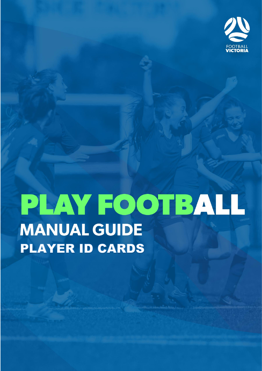

# PLAY FOOTBALL **MANUAL GUIDE PLAYER ID CARDS**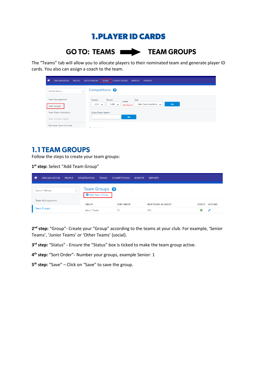### **1.PLAYER ID CARDS**

## **GO TO: TEAMS WE TEAM GROUPS**

The "Teams" tab will allow you to allocate players to their nominated team and generate player ID cards. You also can assign a coach to the team.

| 谷<br><b>ORGANISATION</b><br><b>PEOPLE</b>    | <b>COMPETITIONS</b><br><b>REGISTRATION</b><br><b>TEAMS</b><br><b>WEBSITE</b><br><b>REPORTS</b>                         |
|----------------------------------------------|------------------------------------------------------------------------------------------------------------------------|
| $\mathsf{Q}$<br>Search Menus                 | Competitions <sup>8</sup>                                                                                              |
| <b>Team Management</b><br><b>Team Groups</b> | Task<br>Season<br>Round<br>Grade<br>Go<br>Enter Team Selections $\sqrt{}$<br>$2019$ $\vee$<br>$CURR \sim$<br>Not found |
| <b>Team Player Allocations</b>               | Quick Player Search                                                                                                    |
| <b>Team Contacts Report</b>                  | Go                                                                                                                     |
| Nominate Team to Comp                        | .<br>$\overline{\phantom{a}}$                                                                                          |

#### **1.1 TEAM GROUPS**

Follow the steps to create your team groups:

**1 st step:** Select "Add Team Group"

| ⋒ | <b>ORGANISATION</b> | <b>PEOPLE</b> | <b>REGISTRATION</b>    | <b>TEAMS</b>   | <b>COMPETITIONS</b> | <b>WEBSITE</b> | <b>REPORTS</b>            |               |                |
|---|---------------------|---------------|------------------------|----------------|---------------------|----------------|---------------------------|---------------|----------------|
|   | Search Menus        |               | Team Groups $\bigcirc$ | Add Team Group |                     |                |                           |               |                |
|   | Team Management     |               | <b>GROUP</b>           |                | <b>SORT ORDER</b>   |                | <b>NUM TEAMS IN GROUP</b> | <b>STATUS</b> | <b>ACTIONS</b> |
|   | <b>Team Groups</b>  |               | <b>Junior Teams</b>    |                | 10                  |                | 562                       |               |                |

**2 nd step:** "Group"- Create your "Group" according to the teams at your club. For example, 'Senior Teams', 'Junior Teams' or 'Other Teams' (social).

**3 rd step:** "Status" - Ensure the "Status" box is ticked to make the team group active.

**4 th step:** "Sort Order"- Number your groups, example Senior: 1

**5 th step:** "Save" – Click on "Save" to save the group.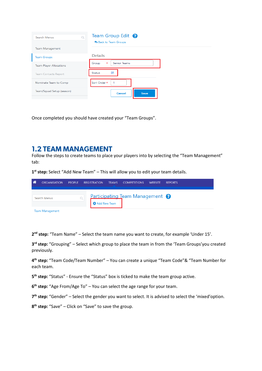| $\circ$<br>Search Menus        | Team Group Edit <sup>?</sup><br>Back to Team Groups |
|--------------------------------|-----------------------------------------------------|
| <b>Team Management</b>         |                                                     |
| <b>Team Groups</b>             | <b>Details</b>                                      |
| <b>Team Player Allocations</b> | <b>Senior Teams</b><br>Group<br>$\ast$              |
| <b>Team Contacts Report</b>    | 罓<br><b>Status</b>                                  |
| Nominate Team to Comp          | Sort Order *<br>1                                   |
| Team/Squad Setup (season)      | <b>Cancel</b><br>Save                               |

Once completed you should have created your "Team Groups".

#### **1.2 TEAM MANAGEMENT**

Follow the steps to create teams to place your players into by selecting the "Team Management" tab:

**1 st step:** Select "Add New Team" – This will allow you to edit your team details.

| 一谷 | <b>ORGANISATION</b>    | <b>PEOPLE</b> | <b>REGISTRATION</b>   | <b>TEAMS COMPETITIONS</b>                  | <b>WEBSITE</b> | <b>REPORTS</b> |  |
|----|------------------------|---------------|-----------------------|--------------------------------------------|----------------|----------------|--|
|    | Search Menus           |               | <b>O</b> Add New Team | Participating Team Management <sup>?</sup> |                |                |  |
|    | <b>Team Management</b> |               |                       |                                            |                |                |  |

**2 nd step:** "Team Name" – Select the team name you want to create, for example 'Under 15'.

**3 rd step:** "Grouping" – Select which group to place the team in from the 'Team Groups'you created previously.

**4 th step:** "Team Code/Team Number" – You can create a unique "Team Code"& "Team Number for each team.

**5 th step:** "Status" - Ensure the "Status" box is ticked to make the team group active.

**6 th step:** "Age From/Age To" – You can select the age range for your team.

**7 th step:** "Gender" – Select the gender you want to select. It is advised to select the 'mixed'option.

**8 th step:** "Save" – Click on "Save" to save the group.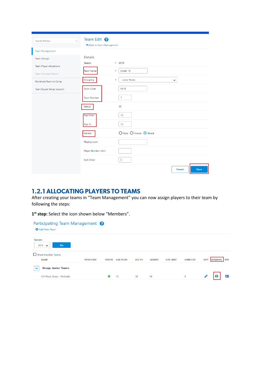| $\overline{Q}$<br>Search Menus | Team Edit <sup>8</sup><br>Back to Team Management |                                               |
|--------------------------------|---------------------------------------------------|-----------------------------------------------|
| <b>Team Management</b>         |                                                   |                                               |
| <b>Team Groups</b>             | <b>Details</b>                                    |                                               |
| <b>Team Player Allocations</b> | Season                                            | * 2019                                        |
| <b>Team Contacts Report</b>    | Team Name                                         | Under 15<br>$\ast$                            |
| Nominate Team to Comp          | Grouping                                          | $\ast$<br><b>Junior Teams</b><br>$\checkmark$ |
| Team/Squad Setup (season)      | <b>Team Code</b>                                  | <b>FV15</b>                                   |
|                                | <b>Team Number</b>                                | $\overline{7}$                                |
|                                | Status                                            | $\overline{\mathbf{S}}$                       |
|                                | Age From                                          | 13                                            |
|                                | Age To                                            | 15                                            |
|                                | Gender                                            | O Male O Female O Mixed                       |
|                                | Playing Level                                     |                                               |
|                                | Player Number Limit                               |                                               |
|                                | Sort Order                                        | $\mathbf 0$                                   |
|                                |                                                   | Save<br>Cancel                                |

#### **1.2.1 ALLOCATING PLAYERS TO TEAMS**

After creating your teams in "Team Management" you can now assign players to their team by following the steps:

**1 st step:** Select the icon shown below "Members".

| Participating Team Management <sup>?</sup> |                  |               |                 |               |               |                   |                  |                                             |
|--------------------------------------------|------------------|---------------|-----------------|---------------|---------------|-------------------|------------------|---------------------------------------------|
| <b>O</b> Add New Team                      |                  |               |                 |               |               |                   |                  |                                             |
| Season<br>Go<br>2019<br>$\checkmark$       |                  |               |                 |               |               |                   |                  |                                             |
| $\Box$ Show Inactive Teams<br><b>NAME</b>  | <b>TEAM CODE</b> | <b>STATUS</b> | <b>AGE FROM</b> | <b>AGE TO</b> | <b>GENDER</b> | <b>SIZE LIMIT</b> | <b>CURR SIZE</b> | <b>PDF</b><br><b>MEMBERS</b><br><b>EDIT</b> |
| <b>Group: Junior Teams</b><br>$\checkmark$ |                  |               |                 |               |               |                   |                  |                                             |
| U14 Boys Joeys - Michaels                  |                  | $\bullet$     | 12              | 18            | M             |                   | 3                | 23<br>e                                     |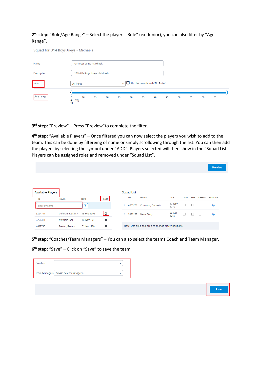**2 nd step:** "Role/Age Range" – Select the players "Role" (ex. Junior), you can also filter by "Age Range".

| Squad for U14 Boys Joeys - Michaels |                  |    |                                |    |              |                                   |    |    |    |    |    |    |    |  |
|-------------------------------------|------------------|----|--------------------------------|----|--------------|-----------------------------------|----|----|----|----|----|----|----|--|
| Name                                |                  |    | U14 Boys Joeys - Michaels      |    |              |                                   |    |    |    |    |    |    |    |  |
| Description                         |                  |    | 2019 U14 Boys Joeys - Michaels |    |              |                                   |    |    |    |    |    |    |    |  |
| Role                                | <b>All Roles</b> |    |                                |    | $\checkmark$ | Also list records with 'No Roles' |    |    |    |    |    |    |    |  |
| Age range                           | 5.<br>$(5 - 70)$ | 10 | 15                             | 20 | 25           | 30                                | 35 | 40 | 45 | 50 | 55 | 60 | 65 |  |

**3 rd step:** "Preview" – Press "Preview"to complete the filter.

**4 th step:** "Available Players" – Once filtered you can now select the players you wish to add to the team. This can be done by filtereing of name or simply scrollowing through the list. You can then add the players by selecting the symbol under "ADD". Players selected will then show in the "Squad List". Players can be assigned roles and removed under "Squad List".

|                                |                   |                       |            |    |                         |                                                     |                |             |            |               | <b>Preview</b> |
|--------------------------------|-------------------|-----------------------|------------|----|-------------------------|-----------------------------------------------------|----------------|-------------|------------|---------------|----------------|
|                                |                   |                       |            |    |                         |                                                     |                |             |            |               |                |
|                                |                   |                       |            |    |                         |                                                     |                |             |            |               |                |
| <b>Available Players</b><br>ID | <b>NAME</b>       | <b>DOB</b>            | <b>ADD</b> |    | <b>Squad List</b><br>ID | <b>NAME</b>                                         | <b>DOB</b>     | <b>CAPT</b> | <b>SUB</b> | <b>KEEPER</b> | <b>REMOVE</b>  |
| Filter by name                 |                   | $\tilde{\phantom{a}}$ |            | 1. | 4635261                 | Cosmano, Domenic                                    | 19 Nov<br>1970 | С           | □          | ⊏             | $^{\circledR}$ |
| 3264707                        | Coltman, Keiran J | 13 Feb 1995           | ا ہ ا      | 2. | 3433287                 | Dean, Tracy                                         | 20 Apr<br>1969 | С           | □          | ⊏             | $^{\circledR}$ |
| 3250311                        | Maxfield, Kai     | 16 Nov 1981           | $\bullet$  |    |                         |                                                     |                |             |            |               |                |
|                                | Trentin, Renato   | 01 Jan 1970           | $\bullet$  |    |                         | Note: Use drag and drop to change player positions. |                |             |            |               |                |

**5 th step:** "Coaches/Team Managers" – You can also select the teams Coach and Team Manager.

**6 th step:** "Save" – Click on "Save" to save the team.

| Coaches |                                      |  |
|---------|--------------------------------------|--|
|         | Team Managers Please Select Managers |  |
|         |                                      |  |